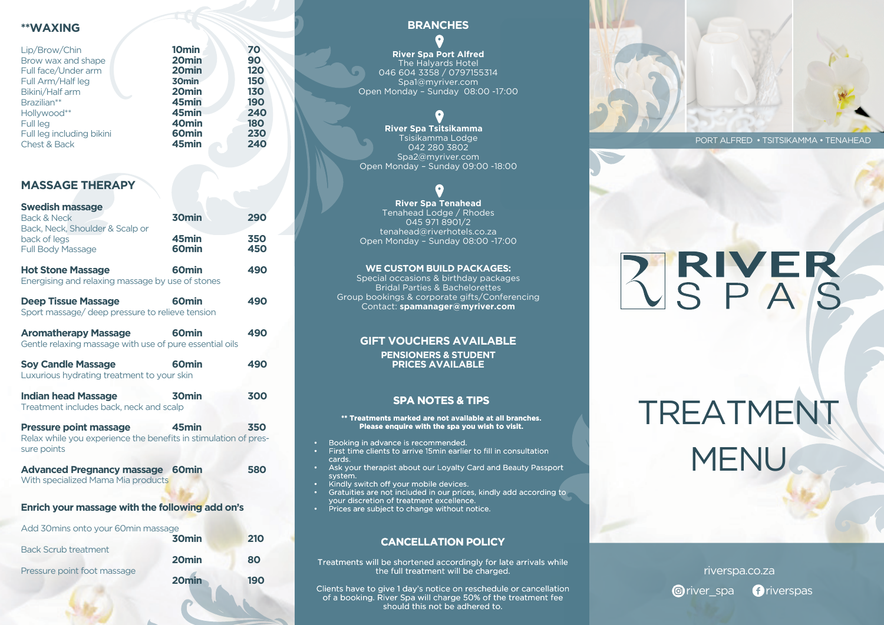#### **\*\*WAXING**

| Lip/Brow/Chin             | 10 <sub>min</sub> | 70         |
|---------------------------|-------------------|------------|
| Brow wax and shape        | 20 <sub>min</sub> | 90         |
| Full face/Under arm       | 20 <sub>min</sub> | 120        |
| Full Arm/Half leg         | 30 <sub>min</sub> | <b>150</b> |
| Bikini/Half arm           | 20 <sub>min</sub> | 130        |
| Brazilian**               | 45 <sub>min</sub> | 190        |
| Hollywood**               | 45min             | 240        |
| <b>Full leg</b>           | 40 <sub>min</sub> | 180        |
| Full leg including bikini | 60 <sub>min</sub> | 230        |
| Chest & Back              | 45min             | 240        |
|                           |                   |            |

#### **MASSAGE THERAPY**

| <b>Swedish massage</b>                                                                                          |                            |            |
|-----------------------------------------------------------------------------------------------------------------|----------------------------|------------|
| <b>Back &amp; Neck</b><br>Back, Neck, Shoulder & Scalp or                                                       | 30 <sub>min</sub>          | 290        |
| back of legs<br><b>Full Body Massage</b>                                                                        | 45min<br>60 <sub>min</sub> | 350<br>450 |
| <b>Hot Stone Massage</b><br>Energising and relaxing massage by use of stones                                    | 60 <sub>min</sub>          | 490        |
| <b>Deep Tissue Massage</b><br>Sport massage/ deep pressure to relieve tension                                   | 60 <sub>min</sub>          | 490        |
| <b>Aromatherapy Massage</b><br>Gentle relaxing massage with use of pure essential oils                          | 60 <sub>min</sub>          | 490        |
| <b>Soy Candle Massage</b><br>Luxurious hydrating treatment to your skin                                         | 60 <sub>min</sub>          | 490        |
| <b>Indian head Massage</b><br>Treatment includes back, neck and scalp                                           | 30 <sub>min</sub>          | 300        |
| <b>Pressure point massage</b><br>Relax while you experience the benefits in stimulation of pres-<br>sure points | 45min                      | 350        |
| <b>Advanced Pregnancy massage 60min</b><br>With specialized Mama Mia products                                   |                            | 580        |
| Enrich your massage with the following add on's                                                                 |                            |            |
| Add 30 mins onto your 60 min massage                                                                            | 30 <sub>min</sub>          | 210        |
| <b>Back Scrub treatment</b>                                                                                     | 20 <sub>min</sub>          | 80         |
| Pressure point foot massage                                                                                     | 20 <sub>min</sub>          | 190        |
|                                                                                                                 |                            |            |

#### **BRANCHES**

**River Spa Port Alfred** The Halyards Hotel 046 604 3358 / 0797155314 Spa1@myriver.com Open Monday – Sunday 08:00 -17:00

 **River Spa Tsitsikamma** Tsisikamma Lodge 042 280 3802 Spa2@myriver.com Open Monday – Sunday 09:00 -18:00

**River Spa Tenahead** Tenahead Lodge / Rhodes 045 971 8901/2 tenahead@riverhotels.co.za Open Monday – Sunday 08:00 -17:00

#### **WE CUSTOM BUILD PACKAGES:**

Special occasions & birthday packages Bridal Parties & Bachelorettes Group bookings & corporate gifts/Conferencing Contact: **spamanager@myriver.com**

### **GIFT VOUCHERS AVAILABLE**

**PENSIONERS & STUDENT PRICES AVAILABLE**

#### **SPA NOTES & TIPS**

#### **\*\* Treatments marked are not available at all branches. Please enquire with the spa you wish to visit.**

- Booking in advance is recommended.
- First time clients to arrive 15min earlier to fill in consultation cards.
- Ask your therapist about our Loyalty Card and Beauty Passport system.
- Kindly switch off your mobile devices.
- Gratuities are not included in our prices, kindly add according to your discretion of treatment excellence.
- Prices are subject to change without notice.

#### **CANCELLATION POLICY**

Treatments will be shortened accordingly for late arrivals while the full treatment will be charged.

Clients have to give 1 day's notice on reschedule or cancellation of a booking. River Spa will charge 50% of the treatment fee should this not be adhered to.



PORT ALFRED • TSITSIKAMMA • TENAHEAD

# RIVER

## TREATMENT MENU

riverspa.co.za

**O** river spa *a* riverspas